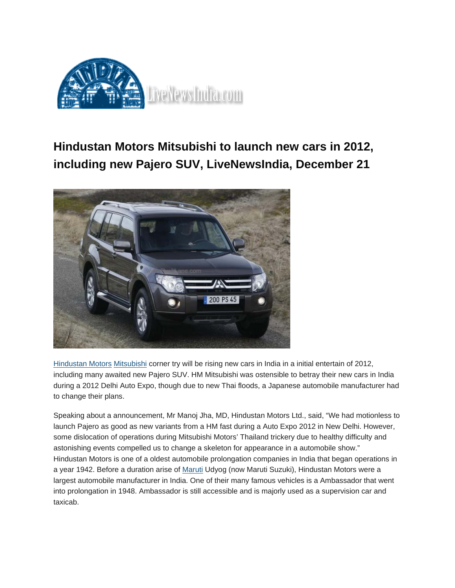

## **Hindustan Motors Mitsubishi to launch new cars in 2012, including new Pajero SUV, LiveNewsIndia, December 21**



<u>[Hindustan](http://www.rushlane.com/latest/auto-news/hindustan-motors-cars) Motors [Mitsubishi](http://www.rushlane.com/latest/auto-news/mitsubishi-cars)</u> corner try will be rising new cars in India in a initial entertain of 2012, including many awaited new Pajero SUV. HM Mitsubishi was ostensible to betray their new cars in India during a 2012 Delhi Auto Expo, though due to new Thai floods, a Japanese automobile manufacturer had to change their plans.

Speaking about a announcement, Mr Manoj Jha, MD, Hindustan Motors Ltd., said, "We had motionless to launch Pajero as good as new variants from a HM fast during a Auto Expo 2012 in New Delhi. However, some dislocation of operations during Mitsubishi Motors' Thailand trickery due to healthy difficulty and astonishing events compelled us to change a skeleton for appearance in a automobile show." Hindustan Motors is one of a oldest automobile prolongation companies in India that began operations in a year 1942. Before a duration arise of [Maruti](http://www.rushlane.com/latest/auto-news/maruti-cars) Udyog (now Maruti Suzuki), Hindustan Motors were a largest automobile manufacturer in India. One of their many famous vehicles is a Ambassador that went into prolongation in 1948. Ambassador is still accessible and is majorly used as a supervision car and taxicab.